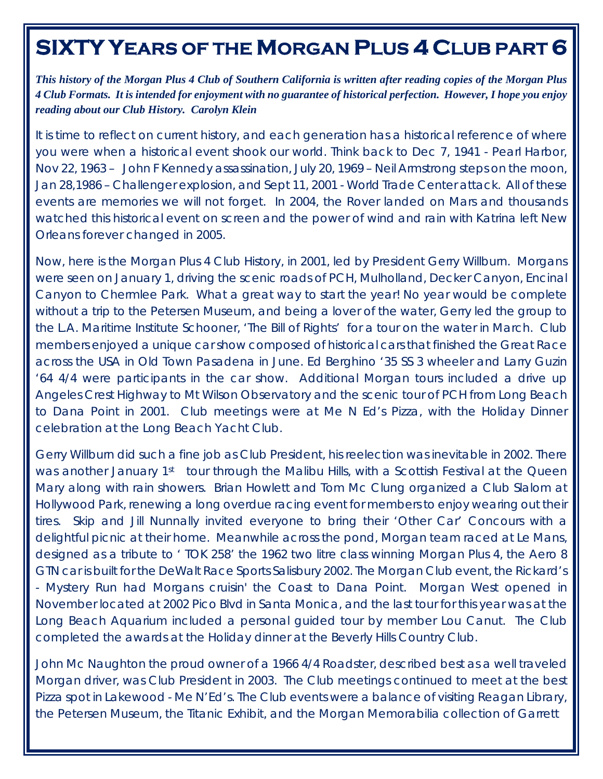## **SIXTY YEARS OF THE MORGAN PLUS 4 CLUB PART 6**

*This history of the Morgan Plus 4 Club of Southern California is written after reading copies of the Morgan Plus 4 Club Formats. It is intended for enjoyment with no guarantee of historical perfection. However, I hope you enjoy reading about our Club History. Carolyn Klein* 

*It is time to reflect on current history, and each generation has a historical reference of where you were when a historical event shook our world. Think back to Dec 7, 1941 - Pearl Harbor, Nov 22, 1963 – John F Kennedy assassination, July 20, 1969 – Neil Armstrong steps on the moon, Jan 28,1986 – Challenger explosion, and Sept 11, 2001 - World Trade Center attack. All of these events are memories we will not forget. In 2004, the Rover landed on Mars and thousands watched this historical event on screen and the power of wind and rain with Katrina left New Orleans forever changed in 2005.* 

Now, here is the Morgan Plus 4 Club History, in 2001, led by President Gerry Willburn. Morgans were seen on January 1, driving the scenic roads of PCH, Mulholland, Decker Canyon, Encinal Canyon to Chermlee Park. What a great way to start the year! No year would be complete without a trip to the Petersen Museum, and being a lover of the water, Gerry led the group to the L.A. Maritime Institute Schooner, 'The Bill of Rights' for a tour on the water in March. Club members enjoyed a unique car show composed of historical cars that finished the Great Race across the USA in Old Town Pasadena in June. Ed Berghino '35 SS 3 wheeler and Larry Guzin '64 4/4 were participants in the car show. Additional Morgan tours included a drive up Angeles Crest Highway to Mt Wilson Observatory and the scenic tour of PCH from Long Beach to Dana Point in 2001. Club meetings were at Me N Ed's Pizza, with the Holiday Dinner celebration at the Long Beach Yacht Club.

Gerry Willburn did such a fine job as Club President, his reelection was inevitable in 2002. There was another January 1<sup>st</sup> tour through the Malibu Hills, with a Scottish Festival at the Queen Mary along with rain showers. Brian Howlett and Tom Mc Clung organized a Club Slalom at Hollywood Park, renewing a long overdue racing event for members to enjoy wearing out their tires. Skip and Jill Nunnally invited everyone to bring their 'Other Car' Concours with a delightful picnic at their home. Meanwhile across the pond, Morgan team raced at Le Mans, designed as a tribute to ' TOK 258' the 1962 two litre class winning Morgan Plus 4, the Aero 8 GTN car is built for the DeWalt Race Sports Salisbury 2002. The Morgan Club event, the Rickard's - Mystery Run had Morgans cruisin' the Coast to Dana Point. Morgan West opened in November located at 2002 Pico Blvd in Santa Monica, and the last tour for this year was at the Long Beach Aquarium included a personal guided tour by member Lou Canut. The Club completed the awards at the Holiday dinner at the Beverly Hills Country Club.

John Mc Naughton the proud owner of a 1966 4/4 Roadster, described best as a well traveled Morgan driver, was Club President in 2003. The Club meetings continued to meet at the best Pizza spot in Lakewood - Me N'Ed's. The Club events were a balance of visiting Reagan Library, the Petersen Museum, the Titanic Exhibit, and the Morgan Memorabilia collection of Garrett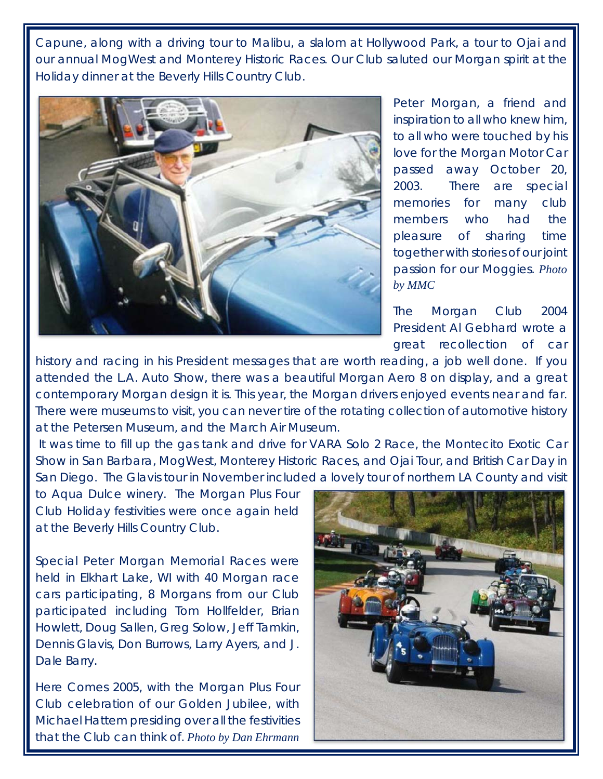Capune, along with a driving tour to Malibu, a slalom at Hollywood Park, a tour to Ojai and our annual MogWest and Monterey Historic Races. Our Club saluted our Morgan spirit at the Holiday dinner at the Beverly Hills Country Club.



Peter Morgan, a friend and inspiration to all who knew him, to all who were touched by his love for the Morgan Motor Car passed away October 20, 2003. There are special memories for many club members who had the pleasure of sharing time together with stories of our joint passion for our Moggies. *Photo by MMC*

The Morgan Club 2004 President Al Gebhard wrote a great recollection of car

history and racing in his President messages that are worth reading, a job well done. If you attended the L.A. Auto Show, there was a beautiful Morgan Aero 8 on display, and a great contemporary Morgan design it is. This year, the Morgan drivers enjoyed events near and far. There were museums to visit, you can never tire of the rotating collection of automotive history at the Petersen Museum, and the March Air Museum.

 It was time to fill up the gas tank and drive for VARA Solo 2 Race, the Montecito Exotic Car Show in San Barbara, MogWest, Monterey Historic Races, and Ojai Tour, and British Car Day in San Diego. The Glavis tour in November included a lovely tour of northern LA County and visit

to Aqua Dulce winery. The Morgan Plus Four Club Holiday festivities were once again held at the Beverly Hills Country Club.

Special Peter Morgan Memorial Races were held in Elkhart Lake, WI with 40 Morgan race cars participating, 8 Morgans from our Club participated including Tom Hollfelder, Brian Howlett, Doug Sallen, Greg Solow, Jeff Tamkin, Dennis Glavis, Don Burrows, Larry Ayers, and J. Dale Barry.

Here Comes 2005, with the Morgan Plus Four Club celebration of our Golden Jubilee, with Michael Hattem presiding over all the festivities that the Club can think of. *Photo by Dan Ehrmann*